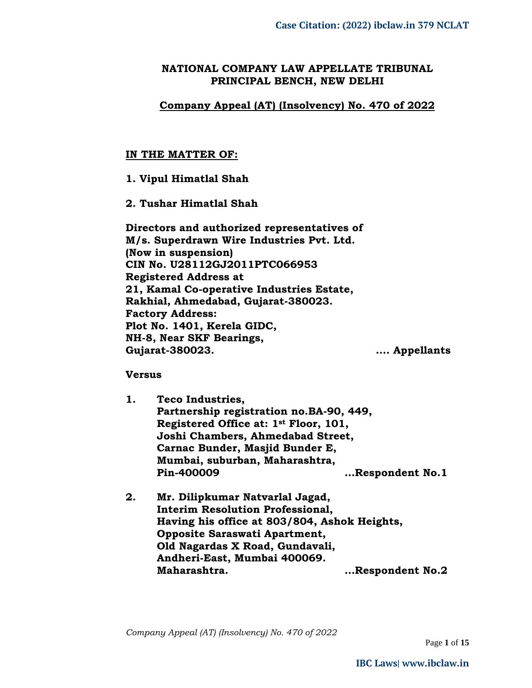## **NATIONAL COMPANY LAW APPELLATE TRIBUNAL PRINCIPAL BENCH, NEW DELHI**

## **Company Appeal (AT) (Insolvency) No. 470 of 2022**

### **IN THE MATTER OF:**

## **1. Vipul Himatlal Shah**

## **2. Tushar Himatlal Shah**

**Directors and authorized representatives of M/s. Superdrawn Wire Industries Pvt. Ltd. (Now in suspension) CIN No. U28112GJ2011PTC066953 Registered Address at 21, Kamal Co-operative Industries Estate, Rakhial, Ahmedabad, Gujarat-380023. Factory Address: Plot No. 1401, Kerela GIDC, NH-8, Near SKF Bearings, Gujarat-380023. …. Appellants**

### **Versus**

- **1. Teco Industries, Partnership registration no.BA-90, 449, Registered Office at: 1st Floor, 101, Joshi Chambers, Ahmedabad Street, Carnac Bunder, Masjid Bunder E, Mumbai, suburban, Maharashtra, Pin-400009 …Respondent No.1**
- **2. Mr. Dilipkumar Natvarlal Jagad, Interim Resolution Professional, Having his office at 803/804, Ashok Heights, Opposite Saraswati Apartment, Old Nagardas X Road, Gundavali, Andheri-East, Mumbai 400069. Maharashtra. …Respondent No.2**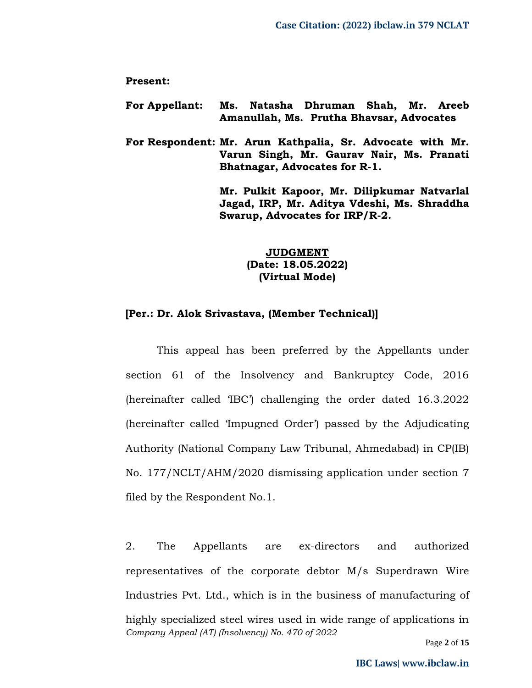#### **Present:**

- **For Appellant: Ms. Natasha Dhruman Shah, Mr. Areeb Amanullah, Ms. Prutha Bhavsar, Advocates**
- **For Respondent: Mr. Arun Kathpalia, Sr. Advocate with Mr. Varun Singh, Mr. Gaurav Nair, Ms. Pranati Bhatnagar, Advocates for R-1.**

**Mr. Pulkit Kapoor, Mr. Dilipkumar Natvarlal Jagad, IRP, Mr. Aditya Vdeshi, Ms. Shraddha Swarup, Advocates for IRP/R-2.**

> **JUDGMENT (Date: 18.05.2022) (Virtual Mode)**

#### **[Per.: Dr. Alok Srivastava, (Member Technical)]**

This appeal has been preferred by the Appellants under section 61 of the Insolvency and Bankruptcy Code, 2016 (hereinafter called 'IBC') challenging the order dated 16.3.2022 (hereinafter called 'Impugned Order') passed by the Adjudicating Authority (National Company Law Tribunal, Ahmedabad) in CP(IB) No. 177/NCLT/AHM/2020 dismissing application under section 7 filed by the Respondent No.1.

*Company Appeal (AT) (Insolvency) No. 470 of 2022* 2. The Appellants are ex-directors and authorized representatives of the corporate debtor M/s Superdrawn Wire Industries Pvt. Ltd., which is in the business of manufacturing of highly specialized steel wires used in wide range of applications in

Page **2** of **15**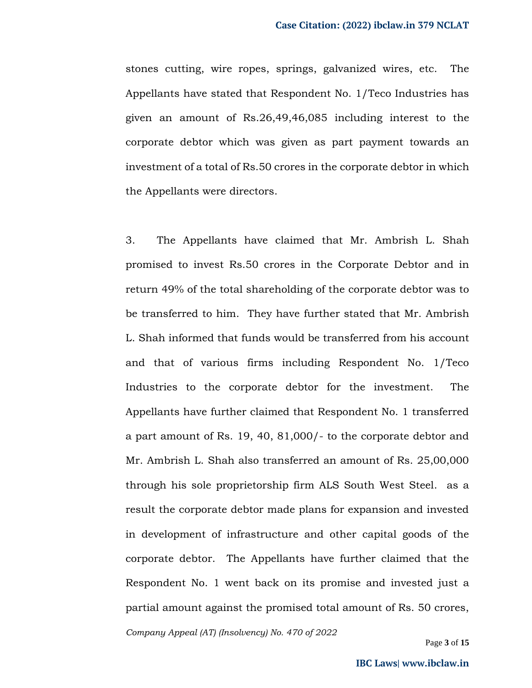stones cutting, wire ropes, springs, galvanized wires, etc. The Appellants have stated that Respondent No. 1/Teco Industries has given an amount of Rs.26,49,46,085 including interest to the corporate debtor which was given as part payment towards an investment of a total of Rs.50 crores in the corporate debtor in which the Appellants were directors.

3. The Appellants have claimed that Mr. Ambrish L. Shah promised to invest Rs.50 crores in the Corporate Debtor and in return 49% of the total shareholding of the corporate debtor was to be transferred to him. They have further stated that Mr. Ambrish L. Shah informed that funds would be transferred from his account and that of various firms including Respondent No. 1/Teco Industries to the corporate debtor for the investment. The Appellants have further claimed that Respondent No. 1 transferred a part amount of Rs. 19, 40, 81,000/- to the corporate debtor and Mr. Ambrish L. Shah also transferred an amount of Rs. 25,00,000 through his sole proprietorship firm ALS South West Steel. as a result the corporate debtor made plans for expansion and invested in development of infrastructure and other capital goods of the corporate debtor. The Appellants have further claimed that the Respondent No. 1 went back on its promise and invested just a partial amount against the promised total amount of Rs. 50 crores,

*Company Appeal (AT) (Insolvency) No. 470 of 2022*

Page **3** of **15**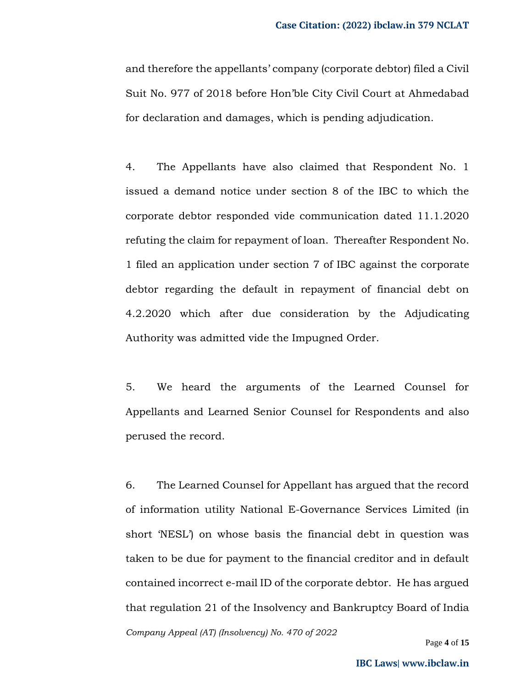and therefore the appellants' company (corporate debtor) filed a Civil Suit No. 977 of 2018 before Hon'ble City Civil Court at Ahmedabad for declaration and damages, which is pending adjudication.

4. The Appellants have also claimed that Respondent No. 1 issued a demand notice under section 8 of the IBC to which the corporate debtor responded vide communication dated 11.1.2020 refuting the claim for repayment of loan. Thereafter Respondent No. 1 filed an application under section 7 of IBC against the corporate debtor regarding the default in repayment of financial debt on 4.2.2020 which after due consideration by the Adjudicating Authority was admitted vide the Impugned Order.

5. We heard the arguments of the Learned Counsel for Appellants and Learned Senior Counsel for Respondents and also perused the record.

*Company Appeal (AT) (Insolvency) No. 470 of 2022* 6. The Learned Counsel for Appellant has argued that the record of information utility National E-Governance Services Limited (in short 'NESL') on whose basis the financial debt in question was taken to be due for payment to the financial creditor and in default contained incorrect e-mail ID of the corporate debtor. He has argued that regulation 21 of the Insolvency and Bankruptcy Board of India

Page **4** of **15**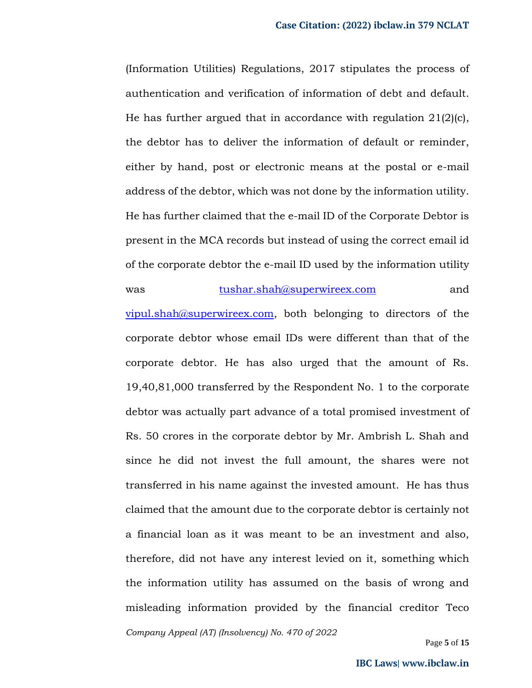(Information Utilities) Regulations, 2017 stipulates the process of authentication and verification of information of debt and default. He has further argued that in accordance with regulation 21(2)(c), the debtor has to deliver the information of default or reminder, either by hand, post or electronic means at the postal or e-mail address of the debtor, which was not done by the information utility. He has further claimed that the e-mail ID of the Corporate Debtor is present in the MCA records but instead of using the correct email id of the corporate debtor the e-mail ID used by the information utility was [tushar.shah@superwireex.com](mailto:tushar.shah@superwireex.com) and

*Company Appeal (AT) (Insolvency) No. 470 of 2022*  $vipul.shah@superwireex.com$ , both belonging to directors of the corporate debtor whose email IDs were different than that of the corporate debtor. He has also urged that the amount of Rs. 19,40,81,000 transferred by the Respondent No. 1 to the corporate debtor was actually part advance of a total promised investment of Rs. 50 crores in the corporate debtor by Mr. Ambrish L. Shah and since he did not invest the full amount, the shares were not transferred in his name against the invested amount. He has thus claimed that the amount due to the corporate debtor is certainly not a financial loan as it was meant to be an investment and also, therefore, did not have any interest levied on it, something which the information utility has assumed on the basis of wrong and misleading information provided by the financial creditor Teco

Page **5** of **15**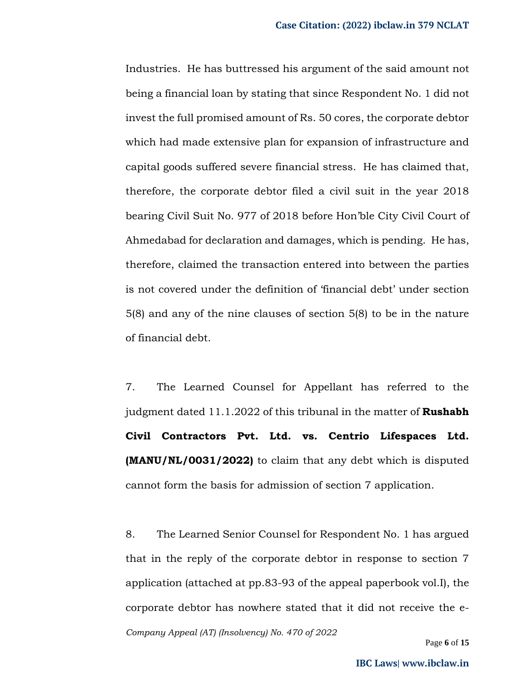Industries. He has buttressed his argument of the said amount not being a financial loan by stating that since Respondent No. 1 did not invest the full promised amount of Rs. 50 cores, the corporate debtor which had made extensive plan for expansion of infrastructure and capital goods suffered severe financial stress. He has claimed that, therefore, the corporate debtor filed a civil suit in the year 2018 bearing Civil Suit No. 977 of 2018 before Hon'ble City Civil Court of Ahmedabad for declaration and damages, which is pending. He has, therefore, claimed the transaction entered into between the parties is not covered under the definition of 'financial debt' under section 5(8) and any of the nine clauses of section 5(8) to be in the nature of financial debt.

7. The Learned Counsel for Appellant has referred to the judgment dated 11.1.2022 of this tribunal in the matter of **Rushabh Civil Contractors Pvt. Ltd. vs. Centrio Lifespaces Ltd. (MANU/NL/0031/2022)** to claim that any debt which is disputed cannot form the basis for admission of section 7 application.

*Company Appeal (AT) (Insolvency) No. 470 of 2022* 8. The Learned Senior Counsel for Respondent No. 1 has argued that in the reply of the corporate debtor in response to section 7 application (attached at pp.83-93 of the appeal paperbook vol.I), the corporate debtor has nowhere stated that it did not receive the e-

Page **6** of **15**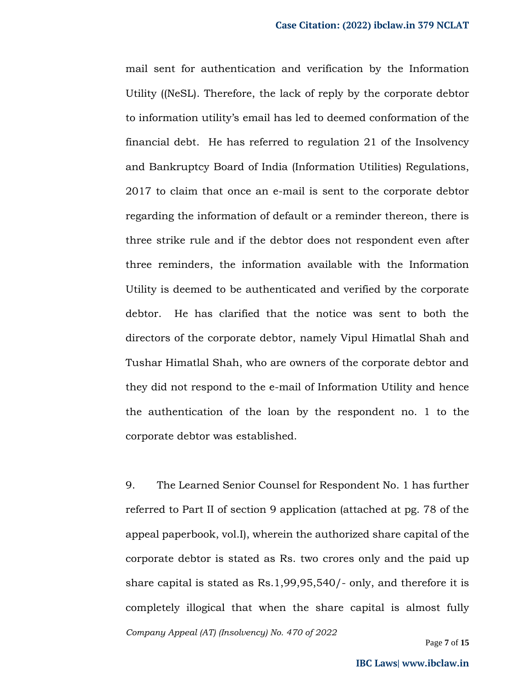mail sent for authentication and verification by the Information Utility ((NeSL). Therefore, the lack of reply by the corporate debtor to information utility's email has led to deemed conformation of the financial debt. He has referred to regulation 21 of the Insolvency and Bankruptcy Board of India (Information Utilities) Regulations, 2017 to claim that once an e-mail is sent to the corporate debtor regarding the information of default or a reminder thereon, there is three strike rule and if the debtor does not respondent even after three reminders, the information available with the Information Utility is deemed to be authenticated and verified by the corporate debtor. He has clarified that the notice was sent to both the directors of the corporate debtor, namely Vipul Himatlal Shah and Tushar Himatlal Shah, who are owners of the corporate debtor and they did not respond to the e-mail of Information Utility and hence the authentication of the loan by the respondent no. 1 to the corporate debtor was established.

*Company Appeal (AT) (Insolvency) No. 470 of 2022* 9. The Learned Senior Counsel for Respondent No. 1 has further referred to Part II of section 9 application (attached at pg. 78 of the appeal paperbook, vol.I), wherein the authorized share capital of the corporate debtor is stated as Rs. two crores only and the paid up share capital is stated as Rs.1,99,95,540/- only, and therefore it is completely illogical that when the share capital is almost fully

Page **7** of **15**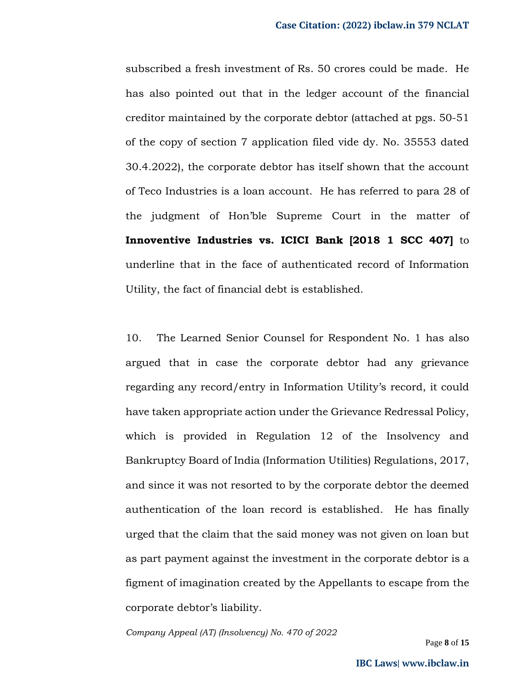subscribed a fresh investment of Rs. 50 crores could be made. He has also pointed out that in the ledger account of the financial creditor maintained by the corporate debtor (attached at pgs. 50-51 of the copy of section 7 application filed vide dy. No. 35553 dated 30.4.2022), the corporate debtor has itself shown that the account of Teco Industries is a loan account. He has referred to para 28 of the judgment of Hon'ble Supreme Court in the matter of **Innoventive Industries vs. ICICI Bank [2018 1 SCC 407]** to underline that in the face of authenticated record of Information Utility, the fact of financial debt is established.

10. The Learned Senior Counsel for Respondent No. 1 has also argued that in case the corporate debtor had any grievance regarding any record/entry in Information Utility's record, it could have taken appropriate action under the Grievance Redressal Policy, which is provided in Regulation 12 of the Insolvency and Bankruptcy Board of India (Information Utilities) Regulations, 2017, and since it was not resorted to by the corporate debtor the deemed authentication of the loan record is established. He has finally urged that the claim that the said money was not given on loan but as part payment against the investment in the corporate debtor is a figment of imagination created by the Appellants to escape from the corporate debtor's liability.

*Company Appeal (AT) (Insolvency) No. 470 of 2022*

Page **8** of **15**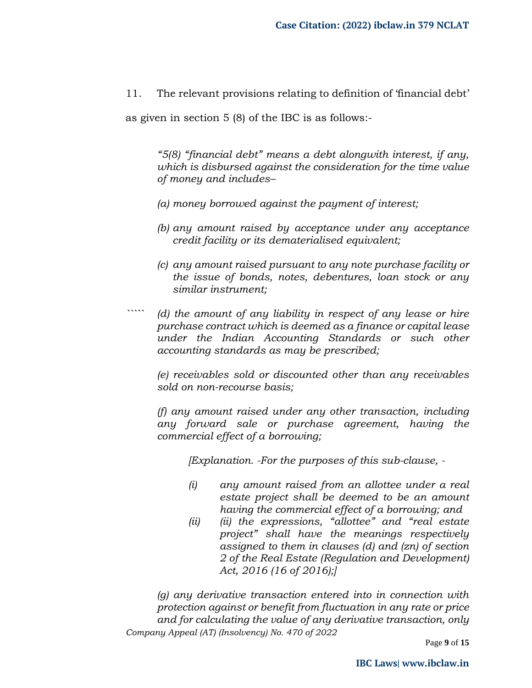11. The relevant provisions relating to definition of 'financial debt'

as given in section 5 (8) of the IBC is as follows:-

*"5(8) "financial debt" means a debt alongwith interest, if any, which is disbursed against the consideration for the time value of money and includes–*

- *(a) money borrowed against the payment of interest;*
- *(b) any amount raised by acceptance under any acceptance credit facility or its dematerialised equivalent;*
- *(c) any amount raised pursuant to any note purchase facility or the issue of bonds, notes, debentures, loan stock or any similar instrument;*
- *````` (d) the amount of any liability in respect of any lease or hire purchase contract which is deemed as a finance or capital lease under the Indian Accounting Standards or such other accounting standards as may be prescribed;*

*(e) receivables sold or discounted other than any receivables sold on non-recourse basis;*

*(f) any amount raised under any other transaction, including any forward sale or purchase agreement, having the commercial effect of a borrowing;* 

*[Explanation. -For the purposes of this sub-clause, -*

- *(i) any amount raised from an allottee under a real estate project shall be deemed to be an amount having the commercial effect of a borrowing; and*
- *(ii) (ii) the expressions, "allottee" and "real estate project" shall have the meanings respectively assigned to them in clauses (d) and (zn) of section 2 of the Real Estate (Regulation and Development) Act, 2016 (16 of 2016);]*

*Company Appeal (AT) (Insolvency) No. 470 of 2022 (g) any derivative transaction entered into in connection with protection against or benefit from fluctuation in any rate or price and for calculating the value of any derivative transaction, only* 

Page **9** of **15**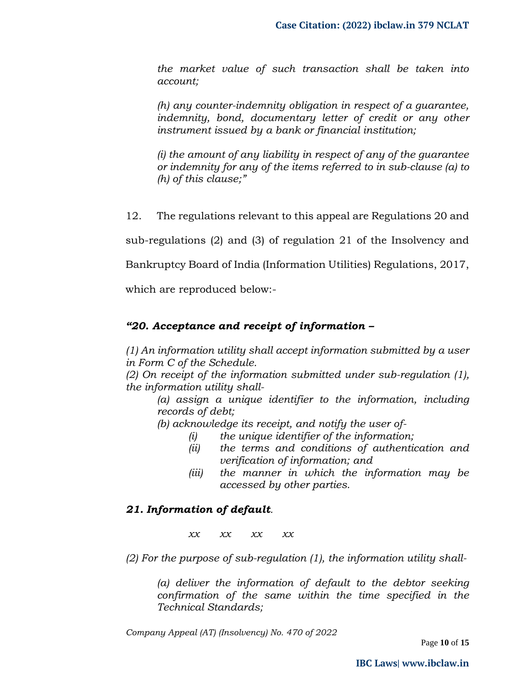*the market value of such transaction shall be taken into account;* 

*(h) any counter-indemnity obligation in respect of a guarantee, indemnity, bond, documentary letter of credit or any other instrument issued by a bank or financial institution;* 

*(i) the amount of any liability in respect of any of the guarantee or indemnity for any of the items referred to in sub-clause (a) to (h) of this clause;"*

12. The regulations relevant to this appeal are Regulations 20 and

sub-regulations (2) and (3) of regulation 21 of the Insolvency and

Bankruptcy Board of India (Information Utilities) Regulations, 2017,

which are reproduced below:-

# *"20. Acceptance and receipt of information –*

*(1) An information utility shall accept information submitted by a user in Form C of the Schedule.* 

*(2) On receipt of the information submitted under sub-regulation (1), the information utility shall-*

*(a) assign a unique identifier to the information, including records of debt;* 

*(b) acknowledge its receipt, and notify the user of-*

- *(i) the unique identifier of the information;*
- *(ii) the terms and conditions of authentication and verification of information; and*
- *(iii) the manner in which the information may be accessed by other parties.*

# *21. Information of default.*

*xx xx xx xx*

*(2) For the purpose of sub-regulation (1), the information utility shall-*

*(a) deliver the information of default to the debtor seeking confirmation of the same within the time specified in the Technical Standards;* 

*Company Appeal (AT) (Insolvency) No. 470 of 2022*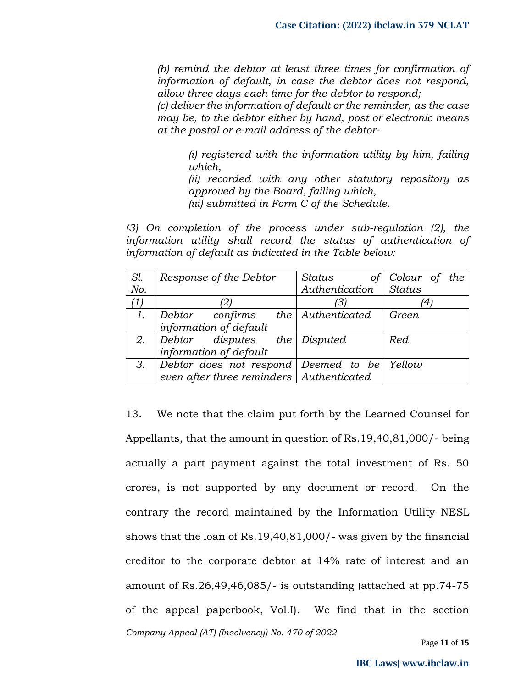*(b) remind the debtor at least three times for confirmation of information of default, in case the debtor does not respond, allow three days each time for the debtor to respond;* 

*(c) deliver the information of default or the reminder, as the case may be, to the debtor either by hand, post or electronic means at the postal or e-mail address of the debtor-*

*(i) registered with the information utility by him, failing which,* 

*(ii) recorded with any other statutory repository as approved by the Board, failing which, (iii) submitted in Form C of the Schedule.* 

*(3) On completion of the process under sub-regulation (2), the information utility shall record the status of authentication of information of default as indicated in the Table below:* 

| Sl. | Response of the Debtor                                      | Status<br>$\sigma f$ | Colour of the |
|-----|-------------------------------------------------------------|----------------------|---------------|
| No. |                                                             | Authentication       | Status        |
| (1) |                                                             | З.                   |               |
| 1.  | $\vert$ Debtor confirms the Authenticated                   |                      | Green         |
|     | information of default                                      |                      |               |
|     | 2. Debtor disputes the Disputed                             |                      | Red           |
|     | information of default                                      |                      |               |
| 3.  | $\vert$ Debtor does not respond $\vert$ Deemed to be Yellow |                      |               |
|     | even after three reminders   Authenticated                  |                      |               |

*Company Appeal (AT) (Insolvency) No. 470 of 2022* 13. We note that the claim put forth by the Learned Counsel for Appellants, that the amount in question of Rs.19,40,81,000/- being actually a part payment against the total investment of Rs. 50 crores, is not supported by any document or record. On the contrary the record maintained by the Information Utility NESL shows that the loan of Rs.19,40,81,000/- was given by the financial creditor to the corporate debtor at 14% rate of interest and an amount of Rs.26,49,46,085/- is outstanding (attached at pp.74-75 of the appeal paperbook, Vol.I). We find that in the section

Page **11** of **15**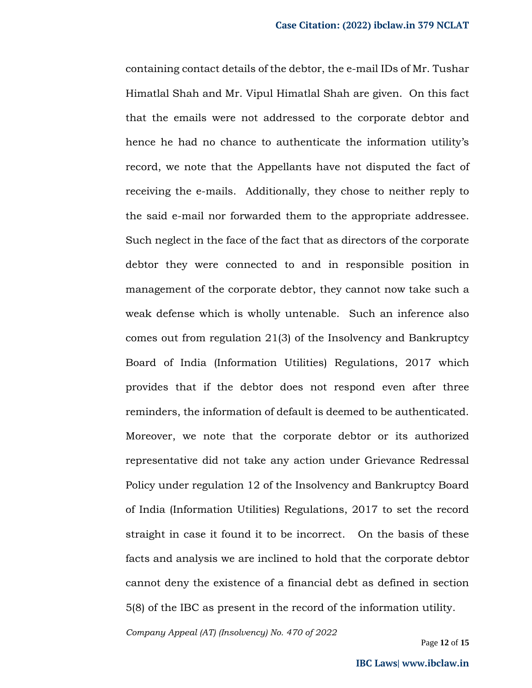containing contact details of the debtor, the e-mail IDs of Mr. Tushar Himatlal Shah and Mr. Vipul Himatlal Shah are given. On this fact that the emails were not addressed to the corporate debtor and hence he had no chance to authenticate the information utility's record, we note that the Appellants have not disputed the fact of receiving the e-mails. Additionally, they chose to neither reply to the said e-mail nor forwarded them to the appropriate addressee. Such neglect in the face of the fact that as directors of the corporate debtor they were connected to and in responsible position in management of the corporate debtor, they cannot now take such a weak defense which is wholly untenable. Such an inference also comes out from regulation 21(3) of the Insolvency and Bankruptcy Board of India (Information Utilities) Regulations, 2017 which provides that if the debtor does not respond even after three reminders, the information of default is deemed to be authenticated. Moreover, we note that the corporate debtor or its authorized representative did not take any action under Grievance Redressal Policy under regulation 12 of the Insolvency and Bankruptcy Board of India (Information Utilities) Regulations, 2017 to set the record straight in case it found it to be incorrect. On the basis of these facts and analysis we are inclined to hold that the corporate debtor cannot deny the existence of a financial debt as defined in section 5(8) of the IBC as present in the record of the information utility.

*Company Appeal (AT) (Insolvency) No. 470 of 2022*

Page **12** of **15**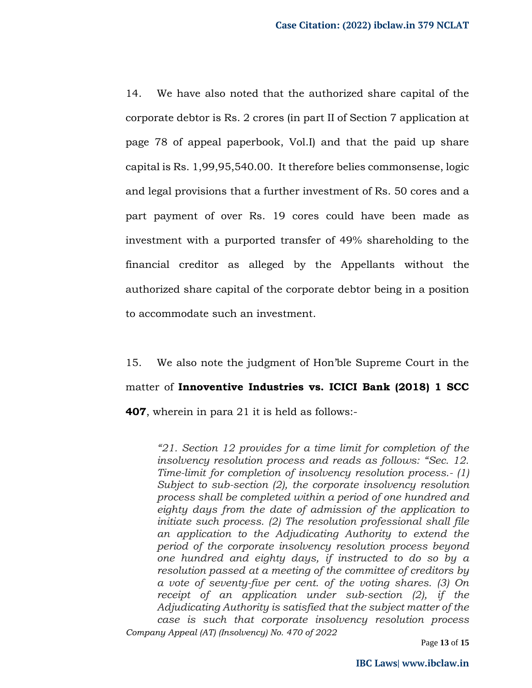14. We have also noted that the authorized share capital of the corporate debtor is Rs. 2 crores (in part II of Section 7 application at page 78 of appeal paperbook, Vol.I) and that the paid up share capital is Rs. 1,99,95,540.00. It therefore belies commonsense, logic and legal provisions that a further investment of Rs. 50 cores and a part payment of over Rs. 19 cores could have been made as investment with a purported transfer of 49% shareholding to the financial creditor as alleged by the Appellants without the authorized share capital of the corporate debtor being in a position to accommodate such an investment.

15. We also note the judgment of Hon'ble Supreme Court in the matter of **Innoventive Industries vs. ICICI Bank (2018) 1 SCC 407**, wherein in para 21 it is held as follows:-

*Company Appeal (AT) (Insolvency) No. 470 of 2022 "21. Section 12 provides for a time limit for completion of the insolvency resolution process and reads as follows: "Sec. 12. Time-limit for completion of insolvency resolution process.- (1) Subject to sub-section (2), the corporate insolvency resolution process shall be completed within a period of one hundred and eighty days from the date of admission of the application to initiate such process. (2) The resolution professional shall file an application to the Adjudicating Authority to extend the period of the corporate insolvency resolution process beyond one hundred and eighty days, if instructed to do so by a resolution passed at a meeting of the committee of creditors by a vote of seventy-five per cent. of the voting shares. (3) On receipt of an application under sub-section (2), if the Adjudicating Authority is satisfied that the subject matter of the case is such that corporate insolvency resolution process* 

Page **13** of **15**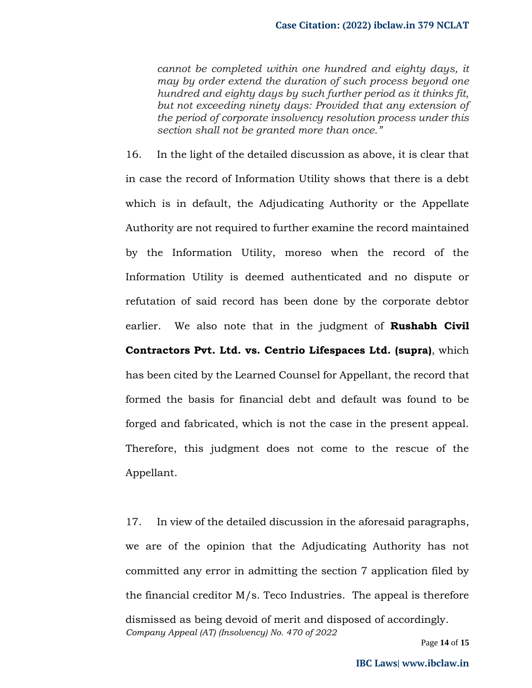*cannot be completed within one hundred and eighty days, it may by order extend the duration of such process beyond one hundred and eighty days by such further period as it thinks fit, but not exceeding ninety days: Provided that any extension of the period of corporate insolvency resolution process under this section shall not be granted more than once."*

16. In the light of the detailed discussion as above, it is clear that in case the record of Information Utility shows that there is a debt which is in default, the Adjudicating Authority or the Appellate Authority are not required to further examine the record maintained by the Information Utility, moreso when the record of the Information Utility is deemed authenticated and no dispute or refutation of said record has been done by the corporate debtor earlier. We also note that in the judgment of **Rushabh Civil Contractors Pvt. Ltd. vs. Centrio Lifespaces Ltd. (supra)**, which has been cited by the Learned Counsel for Appellant, the record that formed the basis for financial debt and default was found to be forged and fabricated, which is not the case in the present appeal. Therefore, this judgment does not come to the rescue of the Appellant.

*Company Appeal (AT) (Insolvency) No. 470 of 2022* 17. In view of the detailed discussion in the aforesaid paragraphs, we are of the opinion that the Adjudicating Authority has not committed any error in admitting the section 7 application filed by the financial creditor M/s. Teco Industries. The appeal is therefore dismissed as being devoid of merit and disposed of accordingly.

Page **14** of **15**